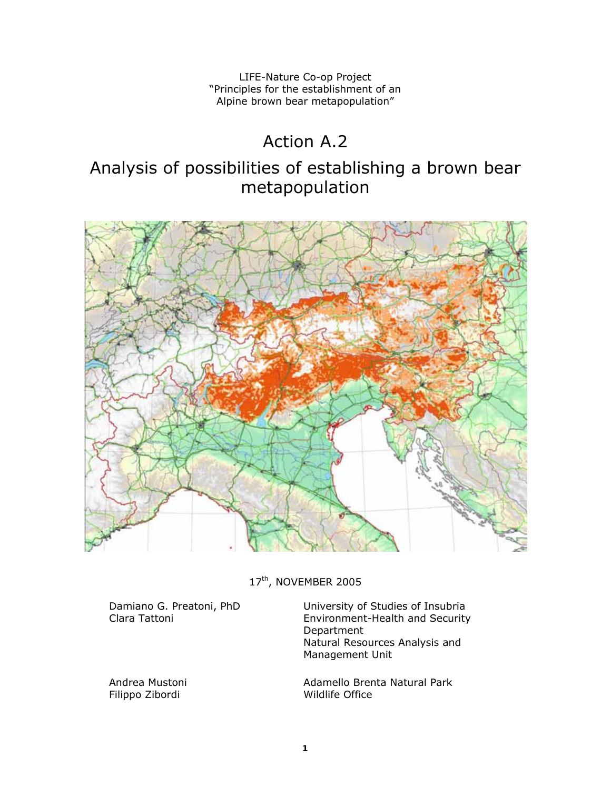LIFE-Nature Co-op Project "Principles for the establishment of an Alpine brown bear metapopulation"

# Action A.2

# Analysis of possibilities of establishing a brown bear metapopulation



17<sup>th</sup>, NOVEMBER 2005

Damiano G. Preatoni, PhD Clara Tattoni

Andrea Mustoni Filippo Zibordi

University of Studies of Insubria Environment-Health and Security Department Natural Resources Analysis and Management Unit

Adamello Brenta Natural Park Wildlife Office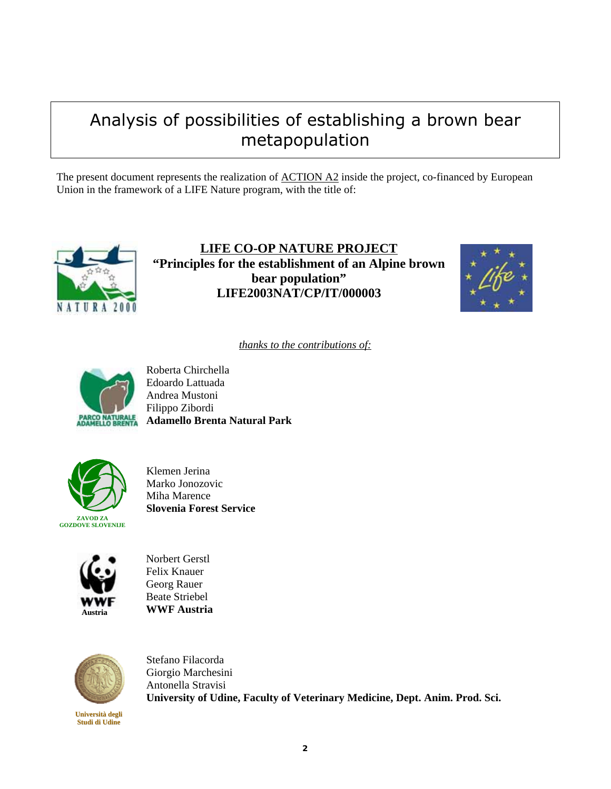# Analysis of possibilities of establishing a brown bear metapopulation

The present document represents the realization of <u>ACTION A2</u> inside the project, co-financed by European Union in the framework of a LIFE Nature program, with the title of:



**LIFE CO-OP NATURE PROJECT "Principles for the establishment of an Alpine brown bear population" LIFE2003NAT/CP/IT/000003** 



*thanks to the contributions of:*



Roberta Chirchella Edoardo Lattuada Andrea Mustoni Filippo Zibordi **Adamello Brenta Natural Park** 



Klemen Jerina Marko Jonozovic Miha Marence **Slovenia Forest Service** 



Norbert Gerstl Felix Knauer Georg Rauer Beate Striebel **WWF Austria** 



**Università degli Studi di Udine**

Stefano Filacorda Giorgio Marchesini Antonella Stravisi **University of Udine, Faculty of Veterinary Medicine, Dept. Anim. Prod. Sci.**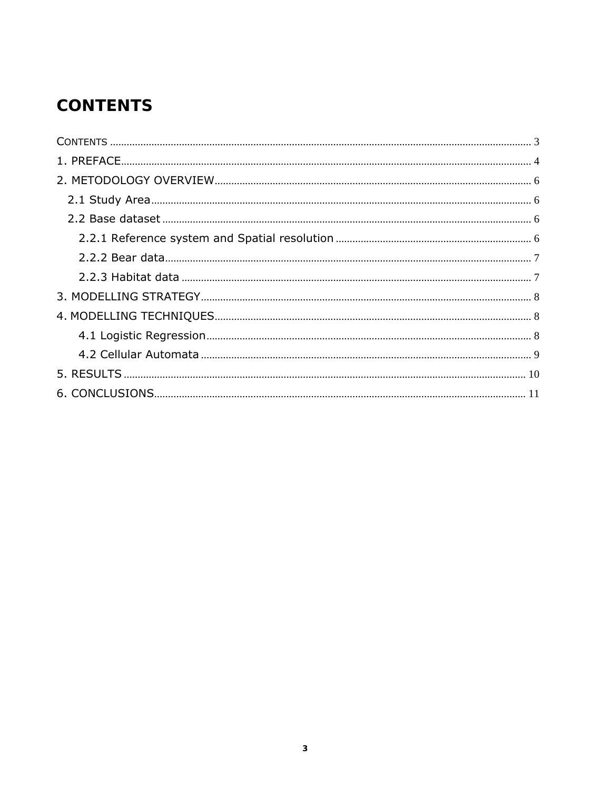# **CONTENTS**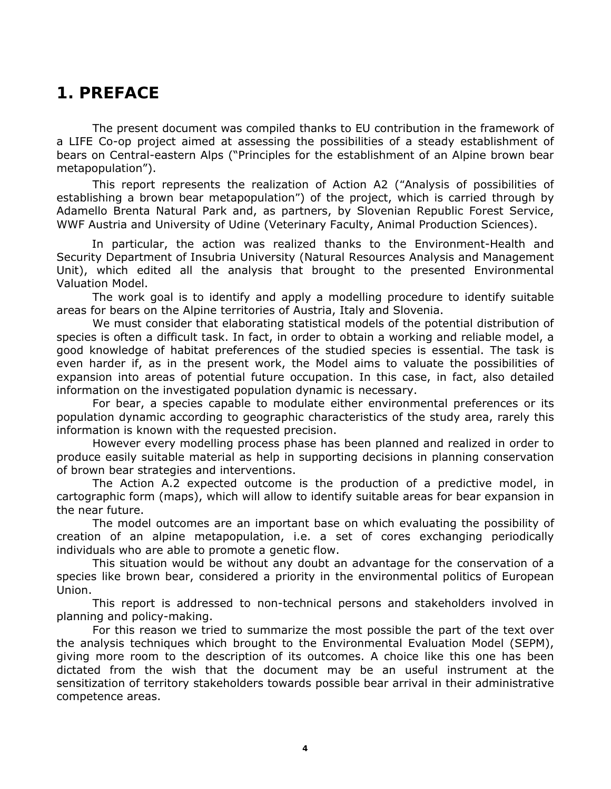## **1. PREFACE**

The present document was compiled thanks to EU contribution in the framework of a LIFE Co-op project aimed at assessing the possibilities of a steady establishment of bears on Central-eastern Alps ("*Principles for the establishment of an Alpine brown bear metapopulation*").

This report represents the realization of Action A2 (*"Analysis of possibilities of establishing a brown bear metapopulation"*) of the project, which is carried through by Adamello Brenta Natural Park and, as partners, by Slovenian Republic Forest Service, WWF Austria and University of Udine (Veterinary Faculty, Animal Production Sciences).

In particular, the action was realized thanks to the Environment-Health and Security Department of Insubria University (Natural Resources Analysis and Management Unit), which edited all the analysis that brought to the presented Environmental Valuation Model.

The work goal is to identify and apply a modelling procedure to identify suitable areas for bears on the Alpine territories of Austria, Italy and Slovenia.

We must consider that elaborating statistical models of the potential distribution of species is often a difficult task. In fact, in order to obtain a working and reliable model, a good knowledge of habitat preferences of the studied species is essential. The task is even harder if, as in the present work, the Model aims to valuate the possibilities of expansion into areas of potential future occupation. In this case, in fact, also detailed information on the investigated population dynamic is necessary.

For bear, a species capable to modulate either environmental preferences or its population dynamic according to geographic characteristics of the study area, rarely this information is known with the requested precision.

However every modelling process phase has been planned and realized in order to produce easily suitable material as help in supporting decisions in planning conservation of brown bear strategies and interventions.

The Action A.2 expected outcome is the production of a predictive model, in cartographic form (maps), which will allow to identify suitable areas for bear expansion in the near future.

The model outcomes are an important base on which evaluating the possibility of creation of an alpine metapopulation, i.e. a set of cores exchanging periodically individuals who are able to promote a genetic flow.

This situation would be without any doubt an advantage for the conservation of a species like brown bear, considered a priority in the environmental politics of European Union.

This report is addressed to non-technical persons and stakeholders involved in planning and policy-making.

For this reason we tried to summarize the most possible the part of the text over the analysis techniques which brought to the Environmental Evaluation Model (SEPM), giving more room to the description of its outcomes. A choice like this one has been dictated from the wish that the document may be an useful instrument at the sensitization of territory stakeholders towards possible bear arrival in their administrative competence areas.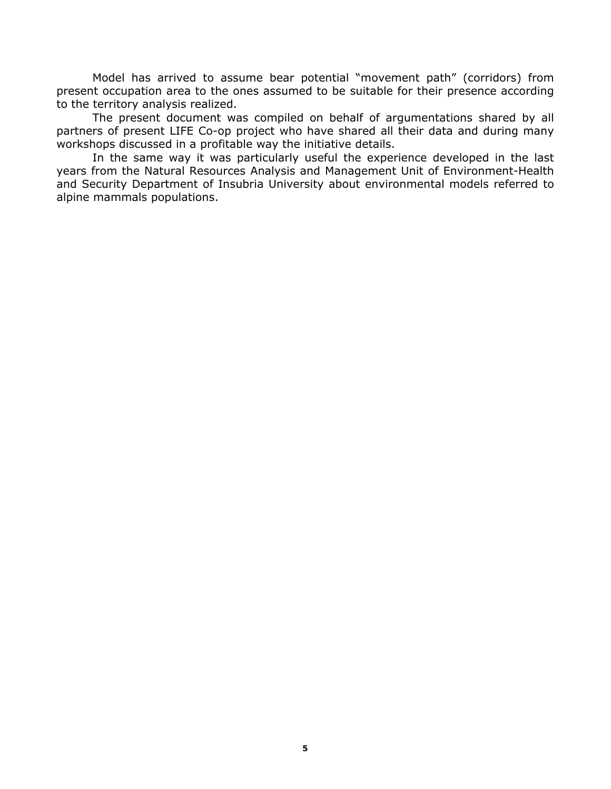Model has arrived to assume bear potential "movement path" (corridors) from present occupation area to the ones assumed to be suitable for their presence according to the territory analysis realized.

The present document was compiled on behalf of argumentations shared by all partners of present LIFE Co-op project who have shared all their data and during many workshops discussed in a profitable way the initiative details.

In the same way it was particularly useful the experience developed in the last years from the Natural Resources Analysis and Management Unit of Environment-Health and Security Department of Insubria University about environmental models referred to alpine mammals populations.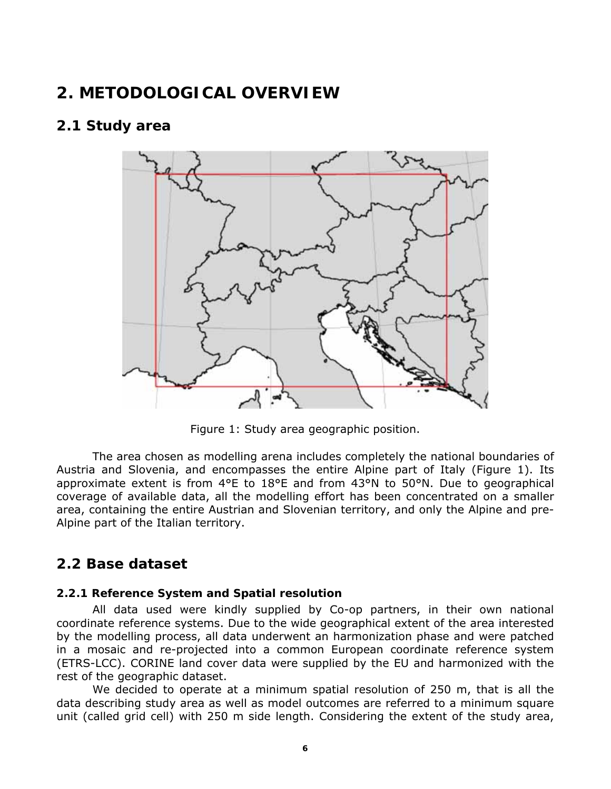## **2. METODOLOGICAL OVERVIEW**

## **2.1 Study area**



Figure 1: Study area geographic position.

The area chosen as modelling arena includes completely the national boundaries of Austria and Slovenia, and encompasses the entire Alpine part of Italy (Figure 1). Its approximate extent is from 4°E to 18°E and from 43°N to 50°N. Due to geographical coverage of available data, all the modelling effort has been concentrated on a smaller area, containing the entire Austrian and Slovenian territory, and only the Alpine and pre-Alpine part of the Italian territory.

## **2.2 Base dataset**

#### **2.2.1 Reference System and Spatial resolution**

All data used were kindly supplied by Co-op partners, in their own national coordinate reference systems. Due to the wide geographical extent of the area interested by the modelling process, all data underwent an harmonization phase and were patched in a mosaic and re-projected into a common European coordinate reference system (ETRS-LCC). CORINE land cover data were supplied by the EU and harmonized with the rest of the geographic dataset.

We decided to operate at a minimum spatial resolution of 250 m, that is all the data describing study area as well as model outcomes are referred to a minimum square unit (called *grid cell*) with 250 m side length. Considering the extent of the study area,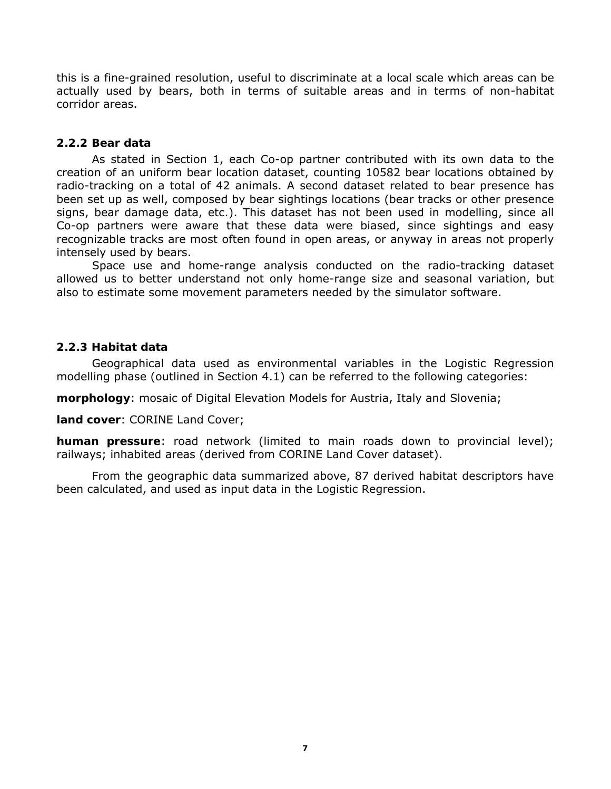this is a fine-grained resolution, useful to discriminate at a local scale which areas can be actually used by bears, both in terms of suitable areas and in terms of non-habitat corridor areas.

#### **2.2.2 Bear data**

As stated in Section 1, each Co-op partner contributed with its own data to the creation of an uniform bear location dataset, counting 10582 bear locations obtained by radio-tracking on a total of 42 animals. A second dataset related to bear presence has been set up as well, composed by bear sightings locations (bear tracks or other presence signs, bear damage data, etc.). This dataset has not been used in modelling, since all Co-op partners were aware that these data were biased, since sightings and easy recognizable tracks are most often found in open areas, or anyway in areas not properly intensely used by bears.

Space use and home-range analysis conducted on the radio-tracking dataset allowed us to better understand not only home-range size and seasonal variation, but also to estimate some movement parameters needed by the simulator software.

#### **2.2.3 Habitat data**

Geographical data used as environmental variables in the Logistic Regression modelling phase (outlined in Section 4.1) can be referred to the following categories:

**morphology**: mosaic of Digital Elevation Models for Austria, Italy and Slovenia;

**land cover**: CORINE *Land Cover*;

**human pressure**: road network (limited to main roads down to provincial level); railways; inhabited areas (derived from CORINE *Land Cover* dataset).

From the geographic data summarized above, 87 derived habitat descriptors have been calculated, and used as input data in the Logistic Regression.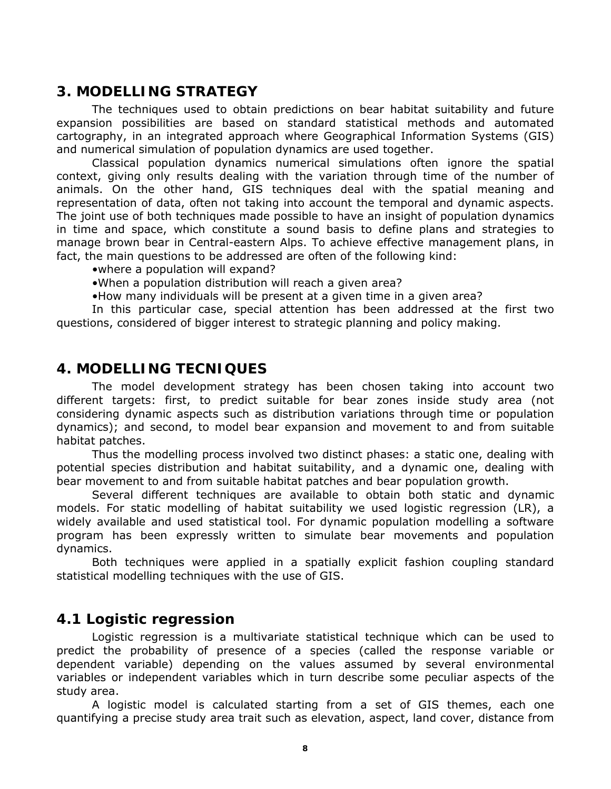## **3. MODELLING STRATEGY**

The techniques used to obtain predictions on bear habitat suitability and future expansion possibilities are based on standard statistical methods and automated cartography, in an integrated approach where Geographical Information Systems (GIS) and numerical simulation of population dynamics are used together.

Classical population dynamics numerical simulations often ignore the spatial context, giving only results dealing with the variation through time of the number of animals. On the other hand, GIS techniques deal with the spatial meaning and representation of data, often not taking into account the temporal and dynamic aspects. The joint use of both techniques made possible to have an insight of population dynamics in time and space, which constitute a sound basis to define plans and strategies to manage brown bear in Central-eastern Alps. To achieve effective management plans, in fact, the main questions to be addressed are often of the following kind:

•*where* a population will expand?

•*When* a population distribution will reach a given area?

•*How many* individuals will be present at a given time in a given area?

In this particular case, special attention has been addressed at the first two questions, considered of bigger interest to strategic planning and policy making.

## **4. MODELLING TECNIQUES**

The model development strategy has been chosen taking into account two different targets: first, to predict suitable for bear zones inside study area (not considering dynamic aspects such as distribution variations through time or population dynamics); and second, to model bear expansion and movement to and from suitable habitat patches.

Thus the modelling process involved two distinct phases: a static one, dealing with potential species distribution and habitat suitability, and a dynamic one, dealing with bear movement to and from suitable habitat patches and bear population growth.

Several different techniques are available to obtain both static and dynamic models. For static modelling of habitat suitability we used logistic regression (LR), a widely available and used statistical tool. For dynamic population modelling a software program has been expressly written to simulate bear movements and population dynamics.

Both techniques were applied in a spatially explicit fashion coupling standard statistical modelling techniques with the use of GIS.

### **4.1 Logistic regression**

Logistic regression is a multivariate statistical technique which can be used to predict the probability of presence of a species (called the response variable or dependent variable) depending on the values assumed by several environmental variables or independent variables which in turn describe some peculiar aspects of the study area.

A logistic model is calculated starting from a set of GIS themes, each one quantifying a precise study area trait such as elevation, aspect, land cover, distance from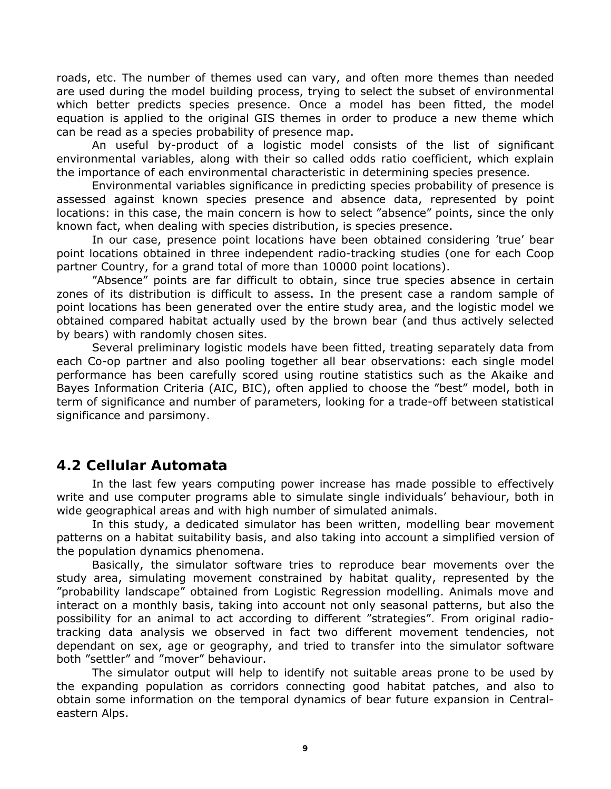roads, etc. The number of themes used can vary, and often more themes than needed are used during the model building process, trying to select the subset of environmental which better predicts species presence. Once a model has been fitted, the model equation is applied to the original GIS themes in order to produce a new theme which can be read as a species probability of presence map.

An useful by-product of a logistic model consists of the list of significant environmental variables, along with their so called *odds ratio coefficient*, which explain the importance of each environmental characteristic in determining species presence.

Environmental variables significance in predicting species probability of presence is assessed against known species presence and absence data, represented by point locations: in this case, the main concern is how to select "absence" points, since the only known fact, when dealing with species distribution, is species presence.

In our case, presence point locations have been obtained considering 'true' bear point locations obtained in three independent radio-tracking studies (one for each Coop partner Country, for a grand total of more than 10000 point locations).

"Absence" points are far difficult to obtain, since true species absence in certain zones of its distribution is difficult to assess. In the present case a random sample of point locations has been generated over the entire study area, and the logistic model we obtained compared habitat actually used by the brown bear (and thus actively selected by bears) with randomly chosen sites.

Several preliminary logistic models have been fitted, treating separately data from each Co-op partner and also pooling together all bear observations: each single model performance has been carefully scored using routine statistics such as the Akaike and Bayes Information Criteria (AIC, BIC), often applied to choose the "best" model, both in term of significance and number of parameters, looking for a trade-off between statistical significance and parsimony.

## **4.2 Cellular Automata**

In the last few years computing power increase has made possible to effectively write and use computer programs able to simulate single individuals' behaviour, both in wide geographical areas and with high number of simulated animals.

In this study, a dedicated simulator has been written, modelling bear movement patterns on a habitat suitability basis, and also taking into account a simplified version of the population dynamics phenomena.

Basically, the simulator software tries to reproduce bear movements over the study area, simulating movement constrained by habitat quality, represented by the "probability landscape" obtained from Logistic Regression modelling. Animals move and interact on a monthly basis, taking into account not only seasonal patterns, but also the possibility for an animal to act according to different "strategies". From original radiotracking data analysis we observed in fact two different movement tendencies, not dependant on sex, age or geography, and tried to transfer into the simulator software both "settler" and "mover" behaviour.

The simulator output will help to identify not suitable areas prone to be used by the expanding population as corridors connecting good habitat patches, and also to obtain some information on the temporal dynamics of bear future expansion in Centraleastern Alps.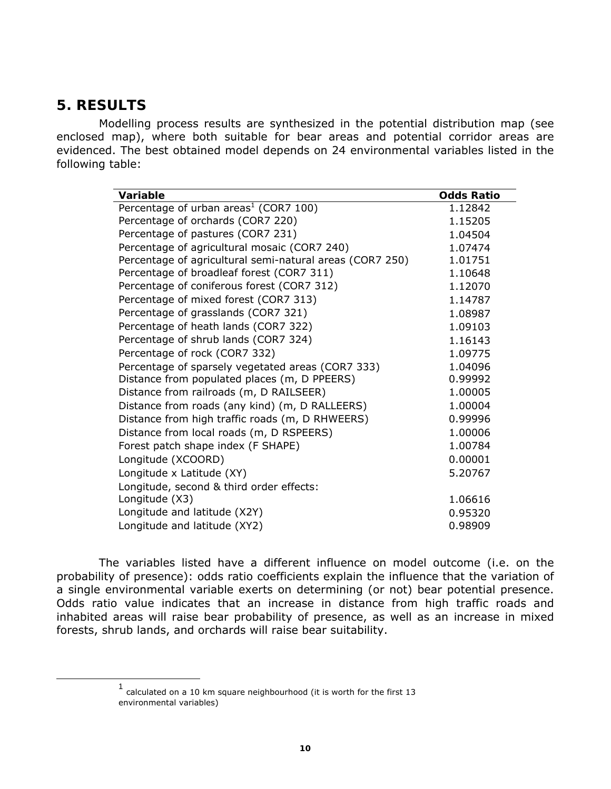## **5. RESULTS**

Modelling process results are synthesized in the potential distribution map (see enclosed map), where both suitable for bear areas and potential corridor areas are evidenced. The best obtained model depends on 24 environmental variables listed in the following table:

| Variable                                                 | Odds Ratio |
|----------------------------------------------------------|------------|
| Percentage of urban areas <sup>1</sup> (COR7 100)        | 1.12842    |
| Percentage of orchards (COR7 220)                        | 1.15205    |
| Percentage of pastures (COR7 231)                        | 1.04504    |
| Percentage of agricultural mosaic (COR7 240)             | 1.07474    |
| Percentage of agricultural semi-natural areas (COR7 250) | 1.01751    |
| Percentage of broadleaf forest (COR7 311)                | 1.10648    |
| Percentage of coniferous forest (COR7 312)               | 1.12070    |
| Percentage of mixed forest (COR7 313)                    | 1.14787    |
| Percentage of grasslands (COR7 321)                      | 1.08987    |
| Percentage of heath lands (COR7 322)                     | 1.09103    |
| Percentage of shrub lands (COR7 324)                     | 1.16143    |
| Percentage of rock (COR7 332)                            | 1.09775    |
| Percentage of sparsely vegetated areas (COR7 333)        | 1.04096    |
| Distance from populated places (m, D PPEERS)             | 0.99992    |
| Distance from railroads (m, D RAILSEER)                  | 1.00005    |
| Distance from roads (any kind) (m, D RALLEERS)           | 1.00004    |
| Distance from high traffic roads (m, D RHWEERS)          | 0.99996    |
| Distance from local roads (m, D RSPEERS)                 | 1.00006    |
| Forest patch shape index (F SHAPE)                       | 1.00784    |
| Longitude (XCOORD)                                       | 0.00001    |
| Longitude $x$ Latitude (XY)                              | 5.20767    |
| Longitude, second & third order effects:                 |            |
| Longitude (X3)                                           | 1.06616    |
| Longitude and latitude (X2Y)                             | 0.95320    |
| Longitude and latitude (XY2)                             | 0.98909    |

The variables listed have a different influence on model outcome (i.e. on the probability of presence): odds ratio coefficients explain the influence that the variation of a single environmental variable exerts on determining (or not) bear potential presence. Odds ratio value indicates that an increase in distance from high traffic roads and inhabited areas will raise bear probability of presence, as well as an increase in mixed forests, shrub lands, and orchards will raise bear suitability.

 $1$  calculated on a 10 km square neighbourhood (it is worth for the first 13 environmental variables)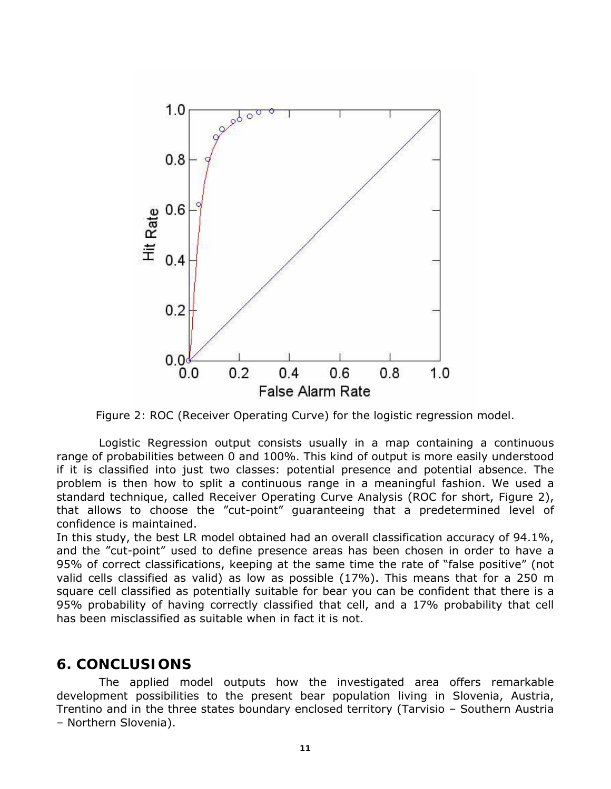

Figure 2: ROC (*Receiver Operating Curve*) for the logistic regression model.

Logistic Regression output consists usually in a map containing a continuous range of probabilities between 0 and 100%. This kind of output is more easily understood if it is classified into just two classes: potential presence and potential absence. The problem is then how to split a continuous range in a meaningful fashion. We used a standard technique, called *Receiver Operating Curve Analysis* (ROC for short, Figure 2), that allows to choose the "cut-point" guaranteeing that a predetermined level of confidence is maintained.

In this study, the best LR model obtained had an overall classification accuracy of 94.1%, and the "cut-point" used to define presence areas has been chosen in order to have a 95% of correct classifications, keeping at the same time the rate of "false positive" (not valid cells classified as valid) as low as possible (17%). This means that for a 250 m square cell classified as potentially suitable for bear you can be confident that there is a 95% probability of having correctly classified that cell, and a 17% probability that cell has been misclassified as suitable when in fact it is not.

### **6. CONCLUSIONS**

The applied model outputs how the investigated area offers remarkable development possibilities to the present bear population living in Slovenia, Austria, Trentino and in the three states boundary enclosed territory (Tarvisio – Southern Austria – Northern Slovenia).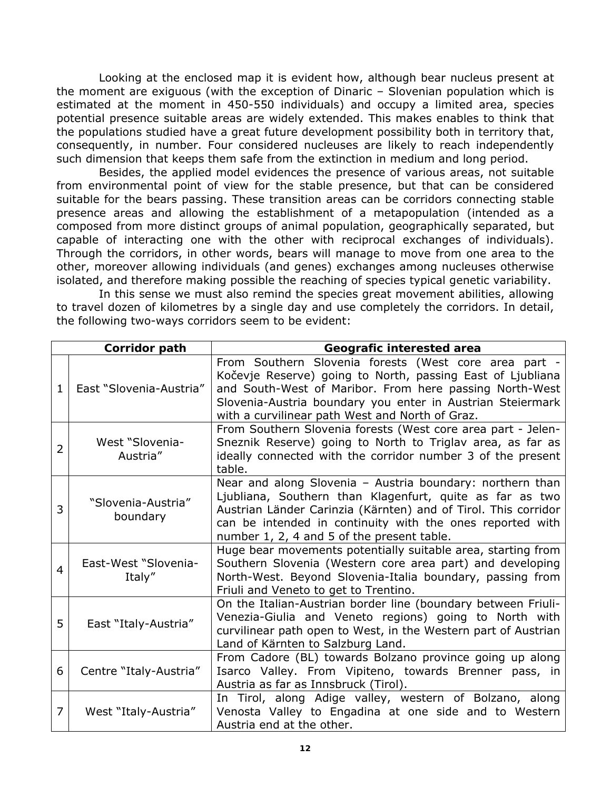Looking at the enclosed map it is evident how, although bear nucleus present at the moment are exiguous (with the exception of Dinaric – Slovenian population which is estimated at the moment in 450-550 individuals) and occupy a limited area, species potential presence suitable areas are widely extended. This makes enables to think that the populations studied have a great future development possibility both in territory that, consequently, in number. Four considered nucleuses are likely to reach independently such dimension that keeps them safe from the extinction in medium and long period.

Besides, the applied model evidences the presence of various areas, not suitable from environmental point of view for the stable presence, but that can be considered suitable for the bears passing. These transition areas can be corridors connecting stable presence areas and allowing the establishment of a metapopulation (intended as a composed from more distinct groups of animal population, geographically separated, but capable of interacting one with the other with reciprocal exchanges of individuals). Through the corridors, in other words, bears will manage to move from one area to the other, moreover allowing individuals (and genes) exchanges among nucleuses otherwise isolated, and therefore making possible the reaching of species typical genetic variability.

In this sense we must also remind the species great movement abilities, allowing to travel dozen of kilometres by a single day and use completely the corridors. In detail, the following two-ways corridors seem to be evident:

| Corridor path  |                                | Geografic interested area                                                                                                                                                                                                                                                                          |
|----------------|--------------------------------|----------------------------------------------------------------------------------------------------------------------------------------------------------------------------------------------------------------------------------------------------------------------------------------------------|
| 1.             | East "Slovenia-Austria"        | From Southern Slovenia forests (West core area part -<br>Kočevje Reserve) going to North, passing East of Ljubliana<br>and South-West of Maribor. From here passing North-West<br>Slovenia-Austria boundary you enter in Austrian Steiermark<br>with a curvilinear path West and North of Graz.    |
| $\overline{2}$ | West "Slovenia-<br>Austria"    | From Southern Slovenia forests (West core area part - Jelen-<br>Sneznik Reserve) going to North to Triglav area, as far as<br>ideally connected with the corridor number 3 of the present<br>table.                                                                                                |
| 3              | "Slovenia-Austria"<br>boundary | Near and along Slovenia - Austria boundary: northern than<br>Ljubliana, Southern than Klagenfurt, quite as far as two<br>Austrian Länder Carinzia (Kärnten) and of Tirol. This corridor<br>can be intended in continuity with the ones reported with<br>number 1, 2, 4 and 5 of the present table. |
| $\overline{4}$ | East-West "Slovenia-<br>Italy" | Huge bear movements potentially suitable area, starting from<br>Southern Slovenia (Western core area part) and developing<br>North-West. Beyond Slovenia-Italia boundary, passing from<br>Friuli and Veneto to get to Trentino.                                                                    |
| 5              | East "Italy-Austria"           | On the Italian-Austrian border line (boundary between Friuli-<br>Venezia-Giulia and Veneto regions) going to North with<br>curvilinear path open to West, in the Western part of Austrian<br>Land of Kärnten to Salzburg Land.                                                                     |
| 6              | Centre "Italy-Austria"         | From Cadore (BL) towards Bolzano province going up along<br>Isarco Valley. From Vipiteno, towards Brenner pass, in<br>Austria as far as Innsbruck (Tirol).                                                                                                                                         |
| 7              | West "Italy-Austria"           | In Tirol, along Adige valley, western of Bolzano, along<br>Venosta Valley to Engadina at one side and to Western<br>Austria end at the other.                                                                                                                                                      |